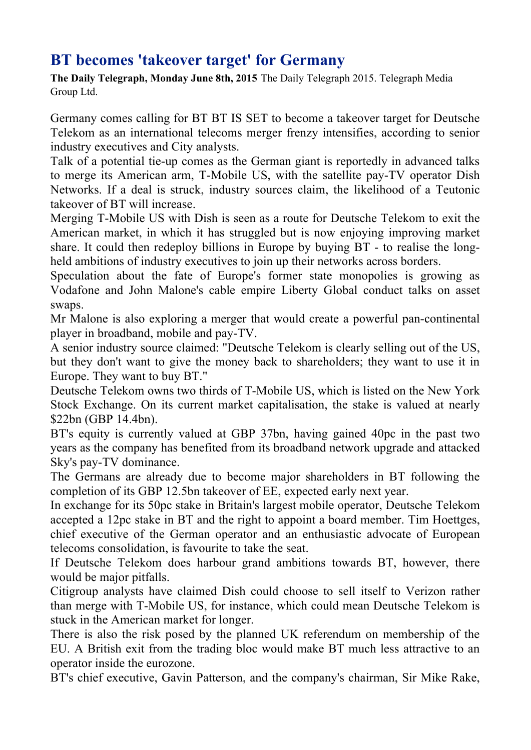## **BT becomes 'takeover target' for Germany**

**The Daily Telegraph, Monday June 8th, 2015** The Daily Telegraph 2015. Telegraph Media Group Ltd.

Germany comes calling for BT BT IS SET to become a takeover target for Deutsche Telekom as an international telecoms merger frenzy intensifies, according to senior industry executives and City analysts.

Talk of a potential tie-up comes as the German giant is reportedly in advanced talks to merge its American arm, T-Mobile US, with the satellite pay-TV operator Dish Networks. If a deal is struck, industry sources claim, the likelihood of a Teutonic takeover of BT will increase.

Merging T-Mobile US with Dish is seen as a route for Deutsche Telekom to exit the American market, in which it has struggled but is now enjoying improving market share. It could then redeploy billions in Europe by buying BT - to realise the longheld ambitions of industry executives to join up their networks across borders.

Speculation about the fate of Europe's former state monopolies is growing as Vodafone and John Malone's cable empire Liberty Global conduct talks on asset swaps.

Mr Malone is also exploring a merger that would create a powerful pan-continental player in broadband, mobile and pay-TV.

A senior industry source claimed: "Deutsche Telekom is clearly selling out of the US, but they don't want to give the money back to shareholders; they want to use it in Europe. They want to buy BT."

Deutsche Telekom owns two thirds of T-Mobile US, which is listed on the New York Stock Exchange. On its current market capitalisation, the stake is valued at nearly \$22bn (GBP 14.4bn).

BT's equity is currently valued at GBP 37bn, having gained 40pc in the past two years as the company has benefited from its broadband network upgrade and attacked Sky's pay-TV dominance.

The Germans are already due to become major shareholders in BT following the completion of its GBP 12.5bn takeover of EE, expected early next year.

In exchange for its 50pc stake in Britain's largest mobile operator, Deutsche Telekom accepted a 12pc stake in BT and the right to appoint a board member. Tim Hoettges, chief executive of the German operator and an enthusiastic advocate of European telecoms consolidation, is favourite to take the seat.

If Deutsche Telekom does harbour grand ambitions towards BT, however, there would be major pitfalls.

Citigroup analysts have claimed Dish could choose to sell itself to Verizon rather than merge with T-Mobile US, for instance, which could mean Deutsche Telekom is stuck in the American market for longer.

There is also the risk posed by the planned UK referendum on membership of the EU. A British exit from the trading bloc would make BT much less attractive to an operator inside the eurozone.

BT's chief executive, Gavin Patterson, and the company's chairman, Sir Mike Rake,